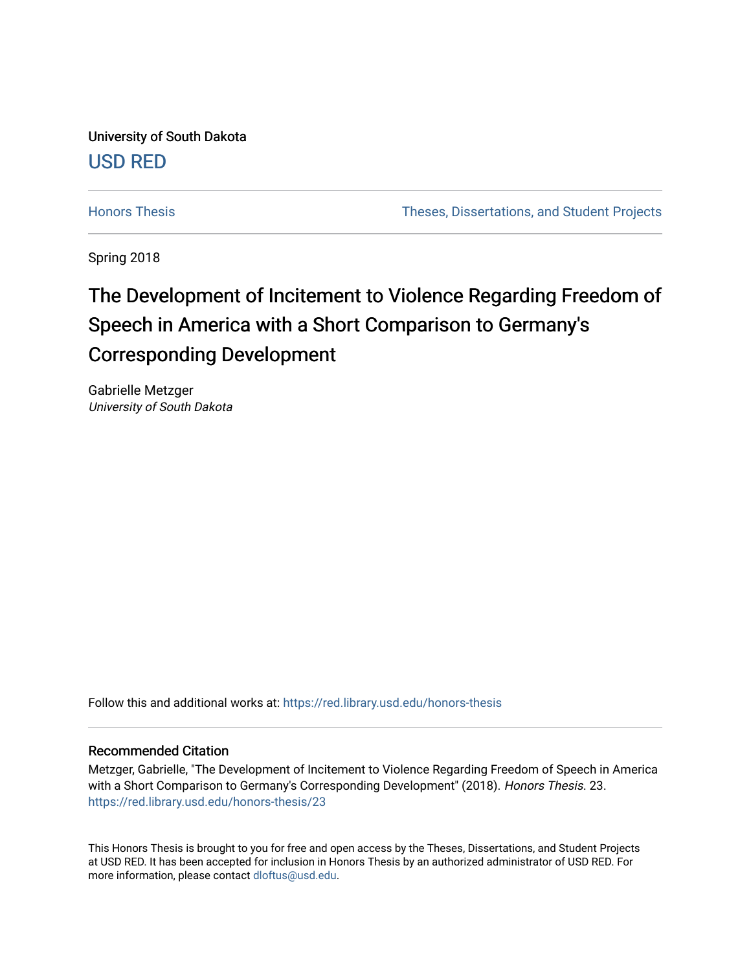University of South Dakota [USD RED](https://red.library.usd.edu/) 

[Honors Thesis](https://red.library.usd.edu/honors-thesis) Theses, Dissertations, and Student Projects

Spring 2018

## The Development of Incitement to Violence Regarding Freedom of Speech in America with a Short Comparison to Germany's Corresponding Development

Gabrielle Metzger University of South Dakota

Follow this and additional works at: [https://red.library.usd.edu/honors-thesis](https://red.library.usd.edu/honors-thesis?utm_source=red.library.usd.edu%2Fhonors-thesis%2F23&utm_medium=PDF&utm_campaign=PDFCoverPages) 

#### Recommended Citation

Metzger, Gabrielle, "The Development of Incitement to Violence Regarding Freedom of Speech in America with a Short Comparison to Germany's Corresponding Development" (2018). Honors Thesis. 23. [https://red.library.usd.edu/honors-thesis/23](https://red.library.usd.edu/honors-thesis/23?utm_source=red.library.usd.edu%2Fhonors-thesis%2F23&utm_medium=PDF&utm_campaign=PDFCoverPages) 

This Honors Thesis is brought to you for free and open access by the Theses, Dissertations, and Student Projects at USD RED. It has been accepted for inclusion in Honors Thesis by an authorized administrator of USD RED. For more information, please contact [dloftus@usd.edu](mailto:dloftus@usd.edu).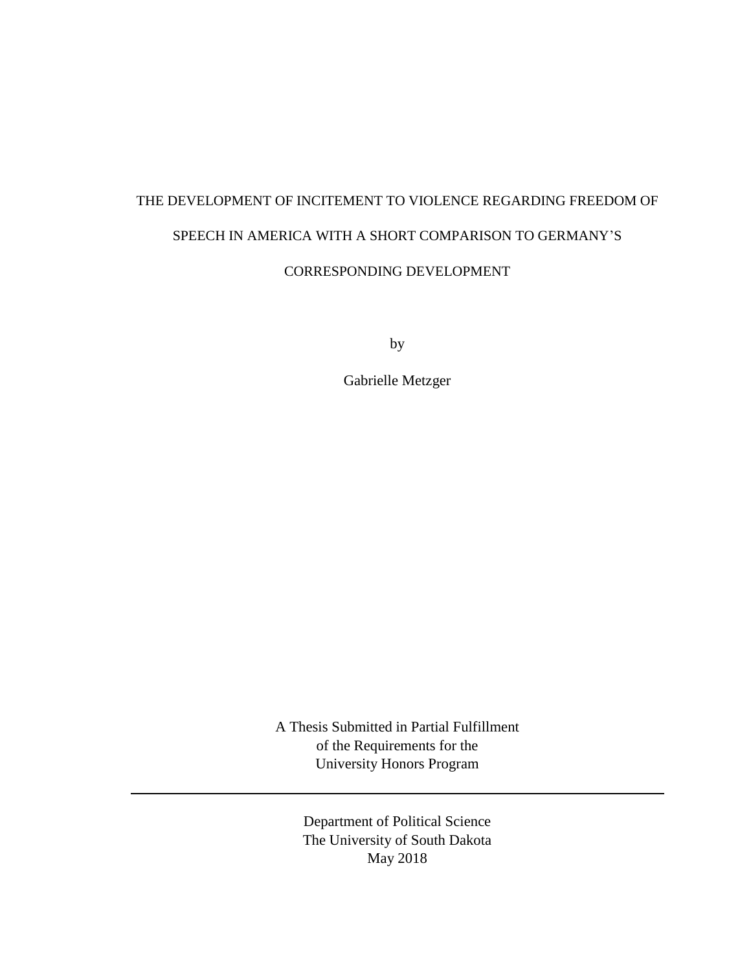# THE DEVELOPMENT OF INCITEMENT TO VIOLENCE REGARDING FREEDOM OF SPEECH IN AMERICA WITH A SHORT COMPARISON TO GERMANY'S CORRESPONDING DEVELOPMENT

by

Gabrielle Metzger

A Thesis Submitted in Partial Fulfillment of the Requirements for the University Honors Program

> Department of Political Science The University of South Dakota May 2018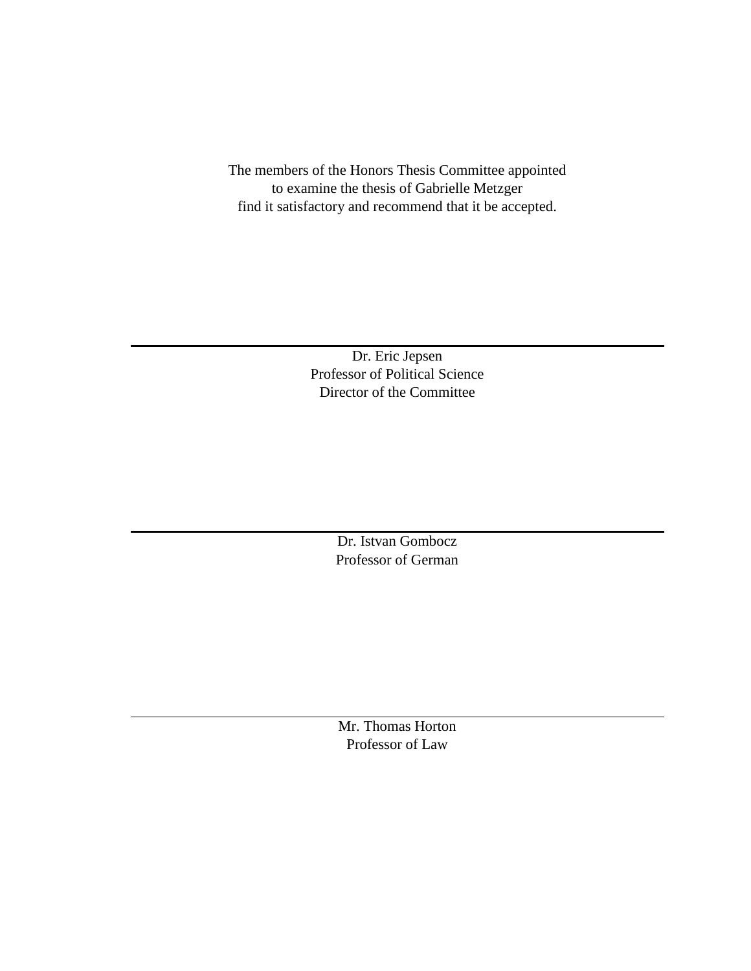The members of the Honors Thesis Committee appointed to examine the thesis of Gabrielle Metzger find it satisfactory and recommend that it be accepted.

> Dr. Eric Jepsen Professor of Political Science Director of the Committee

> > Dr. Istvan Gombocz Professor of German

Mr. Thomas Horton Professor of Law